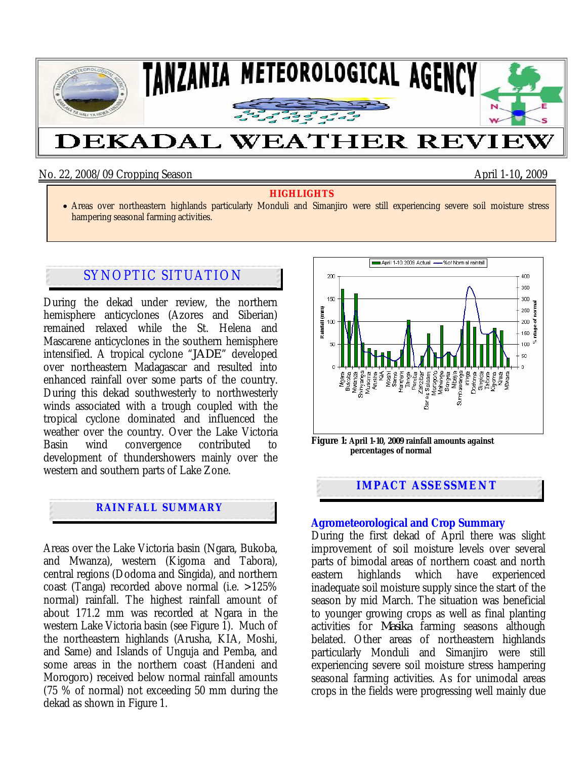

No. 22, 2008/09 Cropping Season April 1-10**,** 2009

#### **HIGHLIGHTS**

• Areas over northeastern highlands particularly Monduli and Simanjiro were still experiencing severe soil moisture stress hampering seasonal farming activities.

# SYNOPTIC SITUATION

During the dekad under review, the northern hemisphere anticyclones (Azores and Siberian) remained relaxed while the St. Helena and Mascarene anticyclones in the southern hemisphere intensified. A tropical cyclone "*JADE*" developed over northeastern Madagascar and resulted into enhanced rainfall over some parts of the country. During this dekad southwesterly to northwesterly winds associated with a trough coupled with the tropical cyclone dominated and influenced the weather over the country. Over the Lake Victoria Basin wind convergence contributed to development of thundershowers mainly over the western and southern parts of Lake Zone.

## **RAINFALL SUMMARY**

Areas over the Lake Victoria basin (Ngara, Bukoba, and Mwanza), western (Kigoma and Tabora), central regions (Dodoma and Singida), and northern coast (Tanga) recorded above normal (i.e. >125% normal) rainfall. The highest rainfall amount of about 171.2 mm was recorded at Ngara in the western Lake Victoria basin (see Figure 1). Much of the northeastern highlands (Arusha, KIA, Moshi, and Same) and Islands of Unguja and Pemba, and some areas in the northern coast (Handeni and Morogoro) received below normal rainfall amounts (75 % of normal) not exceeding 50 mm during the dekad as shown in Figure 1.



### **Agrometeorological and Crop Summary**

**IMPACT ASSESSMENT** 

During the first dekad of April there was slight improvement of soil moisture levels over several parts of bimodal areas of northern coast and north eastern highlands which have experienced inadequate soil moisture supply since the start of the season by mid March. The situation was beneficial to younger growing crops as well as final planting activities for *Masika* farming seasons although belated. Other areas of northeastern highlands particularly Monduli and Simanjiro were still experiencing severe soil moisture stress hampering seasonal farming activities. As for unimodal areas crops in the fields were progressing well mainly due